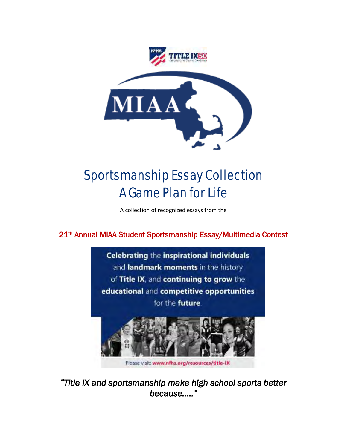

# Sportsmanship Essay Collection A Game Plan for Life

A collection of recognized essays from the

## 21th Annual MIAA Student Sportsmanship Essay/Multimedia Contest



*"Title IX and sportsmanship make high school sports better because….."*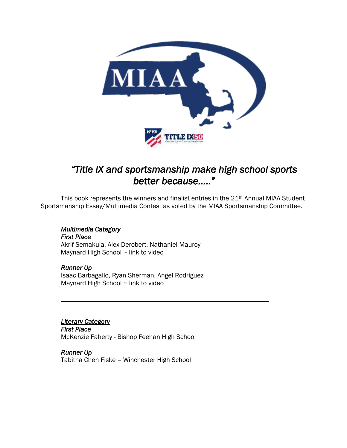

# *"Title IX and sportsmanship make high school sports better because….."*

This book represents the winners and finalist entries in the 21th Annual MIAA Student Sportsmanship Essay/Multimedia Contest as voted by the MIAA Sportsmanship Committee.

*\_\_\_\_\_\_\_\_\_\_\_\_\_\_\_\_\_\_\_\_\_\_\_\_\_\_\_\_\_\_\_\_\_\_\_\_\_\_\_\_\_\_\_\_\_\_\_\_\_\_\_\_\_\_\_\_\_\_\_\_\_* 

#### *Multimedia Category*

*First Place*  Akrif Semakula, Alex Derobert, Nathaniel Mauroy Maynard High School ~ link to video

*Runner Up*  Isaac Barbagallo, Ryan Sherman, Angel Rodriguez Maynard High School ~ link to video

### *Literary Category*

*First Place*  McKenzie Faherty - Bishop Feehan High School

*Runner Up*  Tabitha Chen Fiske – Winchester High School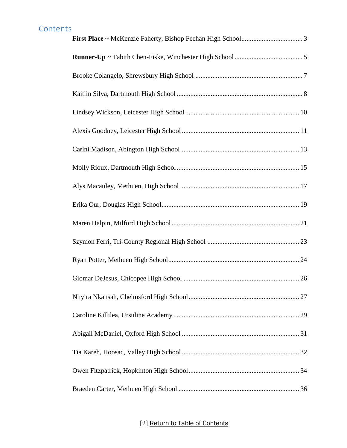<span id="page-2-0"></span>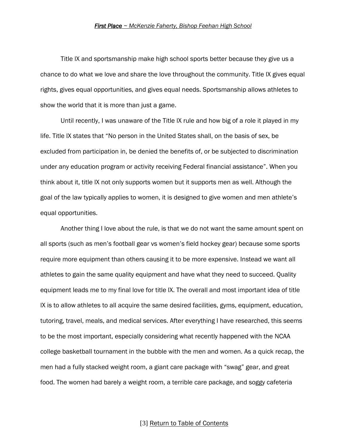<span id="page-3-0"></span>Title lX and sportsmanship make high school sports better because they give us a chance to do what we love and share the love throughout the community. Title lX gives equal rights, gives equal opportunities, and gives equal needs. Sportsmanship allows athletes to show the world that it is more than just a game.

Until recently, I was unaware of the Title lX rule and how big of a role it played in my life. Title lX states that "No person in the United States shall, on the basis of sex, be excluded from participation in, be denied the benefits of, or be subjected to discrimination under any education program or activity receiving Federal financial assistance". When you think about it, title lX not only supports women but it supports men as well. Although the goal of the law typically applies to women, it is designed to give women and men athlete's equal opportunities.

Another thing I love about the rule, is that we do not want the same amount spent on all sports (such as men's football gear vs women's field hockey gear) because some sports require more equipment than others causing it to be more expensive. Instead we want all athletes to gain the same quality equipment and have what they need to succeed. Quality equipment leads me to my final love for title lX. The overall and most important idea of title lX is to allow athletes to all acquire the same desired facilities, gyms, equipment, education, tutoring, travel, meals, and medical services. After everything I have researched, this seems to be the most important, especially considering what recently happened with the NCAA college basketball tournament in the bubble with the men and women. As a quick recap, the men had a fully stacked weight room, a giant care package with "swag" gear, and great food. The women had barely a weight room, a terrible care package, and soggy cafeteria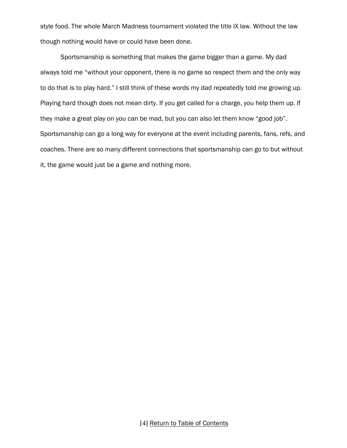style food. The whole March Madness tournament violated the title lX law. Without the law though nothing would have or could have been done.

Sportsmanship is something that makes the game bigger than a game. My dad always told me "without your opponent, there is no game so respect them and the only way to do that is to play hard." I still think of these words my dad repeatedly told me growing up. Playing hard though does not mean dirty. If you get called for a charge, you help them up. If they make a great play on you can be mad, but you can also let them know "good job". Sportsmanship can go a long way for everyone at the event including parents, fans, refs, and coaches. There are so many different connections that sportsmanship can go to but without it, the game would just be a game and nothing more.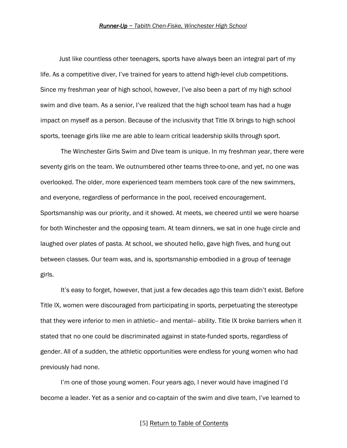<span id="page-5-0"></span>Just like countless other teenagers, sports have always been an integral part of my life. As a competitive diver, I've trained for years to attend high-level club competitions. Since my freshman year of high school, however, I've also been a part of my high school swim and dive team. As a senior, I've realized that the high school team has had a huge impact on myself as a person. Because of the inclusivity that Title IX brings to high school sports, teenage girls like me are able to learn critical leadership skills through sport.

The Winchester Girls Swim and Dive team is unique. In my freshman year, there were seventy girls on the team. We outnumbered other teams three-to-one, and yet, no one was overlooked. The older, more experienced team members took care of the new swimmers, and everyone, regardless of performance in the pool, received encouragement. Sportsmanship was our priority, and it showed. At meets, we cheered until we were hoarse for both Winchester and the opposing team. At team dinners, we sat in one huge circle and laughed over plates of pasta. At school, we shouted hello, gave high fives, and hung out between classes. Our team was, and is, sportsmanship embodied in a group of teenage girls.

It's easy to forget, however, that just a few decades ago this team didn't exist. Before Title IX, women were discouraged from participating in sports, perpetuating the stereotype that they were inferior to men in athletic-- and mental-- ability. Title IX broke barriers when it stated that no one could be discriminated against in state-funded sports, regardless of gender. All of a sudden, the athletic opportunities were endless for young women who had previously had none.

I'm one of those young women. Four years ago, I never would have imagined I'd become a leader. Yet as a senior and co-captain of the swim and dive team, I've learned to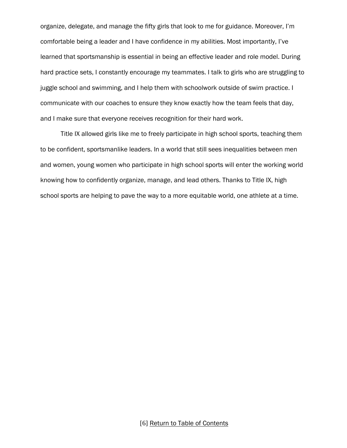organize, delegate, and manage the fifty girls that look to me for guidance. Moreover, I'm comfortable being a leader and I have confidence in my abilities. Most importantly, I've learned that sportsmanship is essential in being an effective leader and role model. During hard practice sets, I constantly encourage my teammates. I talk to girls who are struggling to juggle school and swimming, and I help them with schoolwork outside of swim practice. I communicate with our coaches to ensure they know exactly how the team feels that day, and I make sure that everyone receives recognition for their hard work.

Title IX allowed girls like me to freely participate in high school sports, teaching them to be confident, sportsmanlike leaders. In a world that still sees inequalities between men and women, young women who participate in high school sports will enter the working world knowing how to confidently organize, manage, and lead others. Thanks to Title IX, high school sports are helping to pave the way to a more equitable world, one athlete at a time.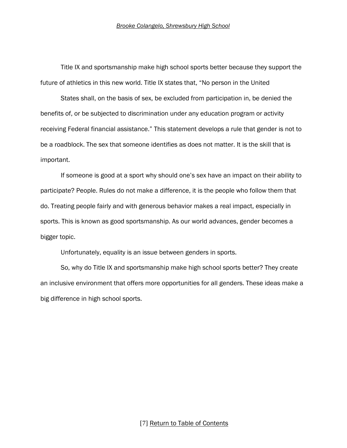<span id="page-7-0"></span>Title IX and sportsmanship make high school sports better because they support the future of athletics in this new world. Title IX states that, "No person in the United

States shall, on the basis of sex, be excluded from participation in, be denied the benefits of, or be subjected to discrimination under any education program or activity receiving Federal financial assistance." This statement develops a rule that gender is not to be a roadblock. The sex that someone identifies as does not matter. It is the skill that is important.

If someone is good at a sport why should one's sex have an impact on their ability to participate? People. Rules do not make a difference, it is the people who follow them that do. Treating people fairly and with generous behavior makes a real impact, especially in sports. This is known as good sportsmanship. As our world advances, gender becomes a bigger topic.

Unfortunately, equality is an issue between genders in sports.

So, why do Title IX and sportsmanship make high school sports better? They create an inclusive environment that offers more opportunities for all genders. These ideas make a big difference in high school sports.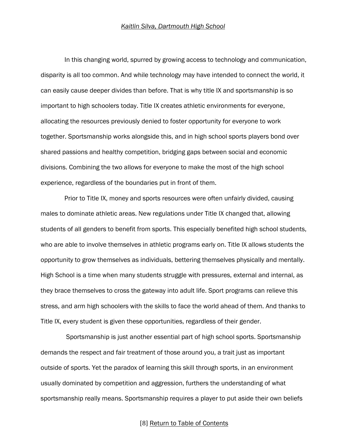<span id="page-8-0"></span> In this changing world, spurred by growing access to technology and communication, disparity is all too common. And while technology may have intended to connect the world, it can easily cause deeper divides than before. That is why title IX and sportsmanship is so important to high schoolers today. Title IX creates athletic environments for everyone, allocating the resources previously denied to foster opportunity for everyone to work together. Sportsmanship works alongside this, and in high school sports players bond over shared passions and healthy competition, bridging gaps between social and economic divisions. Combining the two allows for everyone to make the most of the high school experience, regardless of the boundaries put in front of them.

 Prior to Title IX, money and sports resources were often unfairly divided, causing males to dominate athletic areas. New regulations under Title IX changed that, allowing students of all genders to benefit from sports. This especially benefited high school students, who are able to involve themselves in athletic programs early on. Title IX allows students the opportunity to grow themselves as individuals, bettering themselves physically and mentally. High School is a time when many students struggle with pressures, external and internal, as they brace themselves to cross the gateway into adult life. Sport programs can relieve this stress, and arm high schoolers with the skills to face the world ahead of them. And thanks to Title IX, every student is given these opportunities, regardless of their gender.

 Sportsmanship is just another essential part of high school sports. Sportsmanship demands the respect and fair treatment of those around you, a trait just as important outside of sports. Yet the paradox of learning this skill through sports, in an environment usually dominated by competition and aggression, furthers the understanding of what sportsmanship really means. Sportsmanship requires a player to put aside their own beliefs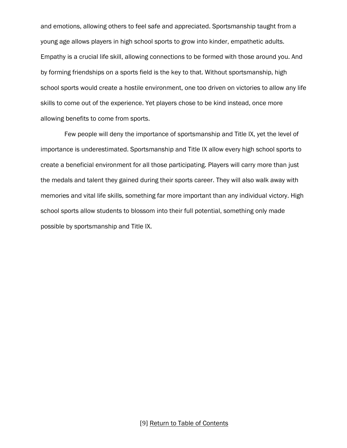and emotions, allowing others to feel safe and appreciated. Sportsmanship taught from a young age allows players in high school sports to grow into kinder, empathetic adults. Empathy is a crucial life skill, allowing connections to be formed with those around you. And by forming friendships on a sports field is the key to that. Without sportsmanship, high school sports would create a hostile environment, one too driven on victories to allow any life skills to come out of the experience. Yet players chose to be kind instead, once more allowing benefits to come from sports.

 Few people will deny the importance of sportsmanship and Title IX, yet the level of importance is underestimated. Sportsmanship and Title IX allow every high school sports to create a beneficial environment for all those participating. Players will carry more than just the medals and talent they gained during their sports career. They will also walk away with memories and vital life skills, something far more important than any individual victory. High school sports allow students to blossom into their full potential, something only made possible by sportsmanship and Title IX.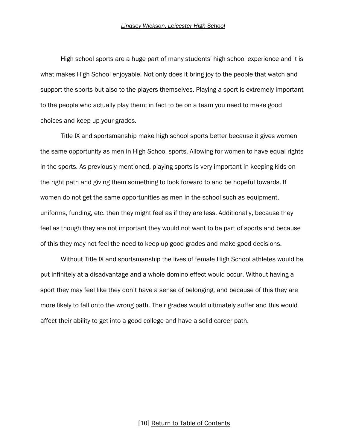<span id="page-10-0"></span>High school sports are a huge part of many students' high school experience and it is what makes High School enjoyable. Not only does it bring joy to the people that watch and support the sports but also to the players themselves. Playing a sport is extremely important to the people who actually play them; in fact to be on a team you need to make good choices and keep up your grades.

Title IX and sportsmanship make high school sports better because it gives women the same opportunity as men in High School sports. Allowing for women to have equal rights in the sports. As previously mentioned, playing sports is very important in keeping kids on the right path and giving them something to look forward to and be hopeful towards. If women do not get the same opportunities as men in the school such as equipment, uniforms, funding, etc. then they might feel as if they are less. Additionally, because they feel as though they are not important they would not want to be part of sports and because of this they may not feel the need to keep up good grades and make good decisions.

Without Title IX and sportsmanship the lives of female High School athletes would be put infinitely at a disadvantage and a whole domino effect would occur. Without having a sport they may feel like they don't have a sense of belonging, and because of this they are more likely to fall onto the wrong path. Their grades would ultimately suffer and this would affect their ability to get into a good college and have a solid career path.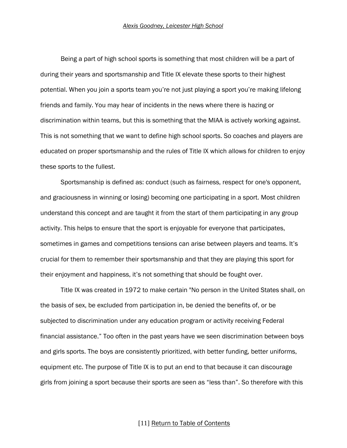<span id="page-11-0"></span>Being a part of high school sports is something that most children will be a part of during their years and sportsmanship and Title IX elevate these sports to their highest potential. When you join a sports team you're not just playing a sport you're making lifelong friends and family. You may hear of incidents in the news where there is hazing or discrimination within teams, but this is something that the MIAA is actively working against. This is not something that we want to define high school sports. So coaches and players are educated on proper sportsmanship and the rules of Title IX which allows for children to enjoy these sports to the fullest.

Sportsmanship is defined as: conduct (such as fairness, respect for one's opponent, and graciousness in winning or losing) becoming one participating in a sport. Most children understand this concept and are taught it from the start of them participating in any group activity. This helps to ensure that the sport is enjoyable for everyone that participates, sometimes in games and competitions tensions can arise between players and teams. It's crucial for them to remember their sportsmanship and that they are playing this sport for their enjoyment and happiness, it's not something that should be fought over.

Title IX was created in 1972 to make certain "No person in the United States shall, on the basis of sex, be excluded from participation in, be denied the benefits of, or be subjected to discrimination under any education program or activity receiving Federal financial assistance." Too often in the past years have we seen discrimination between boys and girls sports. The boys are consistently prioritized, with better funding, better uniforms, equipment etc. The purpose of Title IX is to put an end to that because it can discourage girls from joining a sport because their sports are seen as "less than". So therefore with this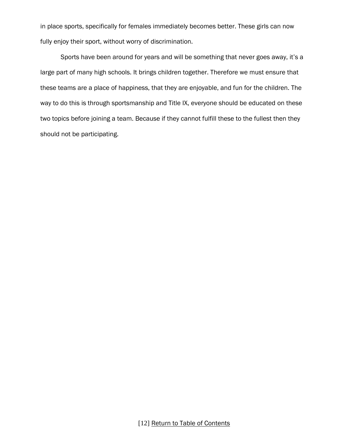in place sports, specifically for females immediately becomes better. These girls can now fully enjoy their sport, without worry of discrimination.

Sports have been around for years and will be something that never goes away, it's a large part of many high schools. It brings children together. Therefore we must ensure that these teams are a place of happiness, that they are enjoyable, and fun for the children. The way to do this is through sportsmanship and Title IX, everyone should be educated on these two topics before joining a team. Because if they cannot fulfill these to the fullest then they should not be participating.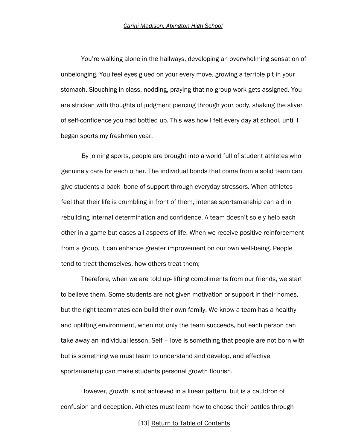<span id="page-13-0"></span>You're walking alone in the hallways, developing an overwhelming sensation of unbelonging. You feel eyes glued on your every move, growing a terrible pit in your stomach. Slouching in class, nodding, praying that no group work gets assigned. You are stricken with thoughts of judgment piercing through your body, shaking the sliver of self-confidence you had bottled up. This was how I felt every day at school, until I began sports my freshmen year.

By joining sports, people are brought into a world full of student athletes who genuinely care for each other. The individual bonds that come from a solid team can give students a back- bone of support through everyday stressors. When athletes feel that their life is crumbling in front of them, intense sportsmanship can aid in rebuilding internal determination and confidence. A team doesn't solely help each other in a game but eases all aspects of life. When we receive positive reinforcement from a group, it can enhance greater improvement on our own well-being. People tend to treat themselves, how others treat them;

Therefore, when we are told up- lifting compliments from our friends, we start to believe them. Some students are not given motivation or support in their homes, but the right teammates can build their own family. We know a team has a healthy and uplifting environment, when not only the team succeeds, but each person can take away an individual lesson. Self – love is something that people are not born with but is something we must learn to understand and develop, and effective sportsmanship can make students personal growth flourish.

However, growth is not achieved in a linear pattern, but is a cauldron of confusion and deception. Athletes must learn how to choose their battles through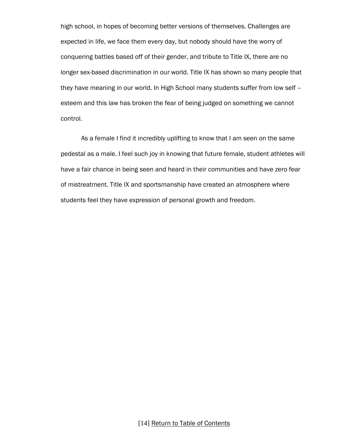high school, in hopes of becoming better versions of themselves. Challenges are expected in life, we face them every day, but nobody should have the worry of conquering battles based off of their gender, and tribute to Title IX, there are no longer sex-based discrimination in our world. Title IX has shown so many people that they have meaning in our world. In High School many students suffer from low self – esteem and this law has broken the fear of being judged on something we cannot control.

As a female I find it incredibly uplifting to know that I am seen on the same pedestal as a male. I feel such joy in knowing that future female, student athletes will have a fair chance in being seen and heard in their communities and have zero fear of mistreatment. Title IX and sportsmanship have created an atmosphere where students feel they have expression of personal growth and freedom.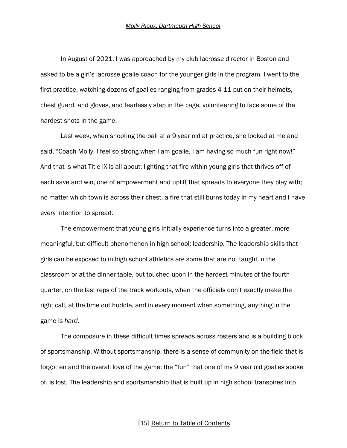<span id="page-15-0"></span>In August of 2021, I was approached by my club lacrosse director in Boston and asked to be a girl's lacrosse goalie coach for the younger girls in the program. I went to the first practice, watching dozens of goalies ranging from grades 4-11 put on their helmets, chest guard, and gloves, and fearlessly step in the cage, volunteering to face some of the hardest shots in the game.

Last week, when shooting the ball at a 9 year old at practice, she looked at me and said, "Coach Molly, I feel so strong when I am goalie, I am having so much fun right now!" And that is what Title IX is all about: lighting that fire within young girls that thrives off of each save and win, one of empowerment and uplift that spreads to everyone they play with; no matter which town is across their chest, a fire that still burns today in my heart and I have every intention to spread.

The empowerment that young girls initially experience turns into a greater, more meaningful, but difficult phenomenon in high school: leadership. The leadership skills that girls can be exposed to in high school athletics are some that are not taught in the classroom or at the dinner table, but touched upon in the hardest minutes of the fourth quarter, on the last reps of the track workouts, when the officials don't exactly make the right call, at the time out huddle, and in every moment when something, anything in the game is *hard.*

The composure in these difficult times spreads across rosters and is a building block of sportsmanship. Without sportsmanship, there is a sense of community on the field that is forgotten and the overall love of the game; the "fun" that one of my 9 year old goalies spoke of, is lost. The leadership and sportsmanship that is built up in high school transpires into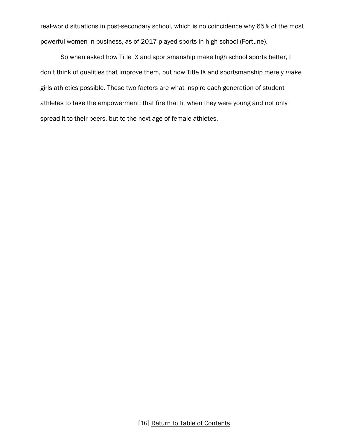real-world situations in post-secondary school, which is no coincidence why 65% of the most powerful women in business, as of 2017 played sports in high school (Fortune).

So when asked how Title IX and sportsmanship make high school sports better, I don't think of qualities that improve them, but how Title IX and sportsmanship merely *make*  girls athletics possible. These two factors are what inspire each generation of student athletes to take the empowerment; that fire that lit when they were young and not only spread it to their peers, but to the next age of female athletes.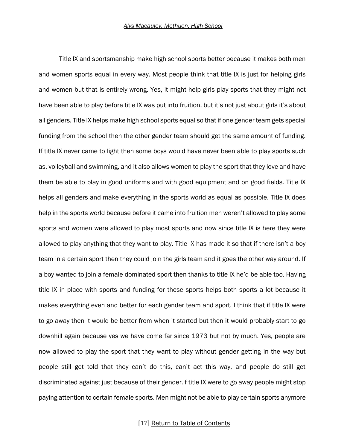<span id="page-17-0"></span>Title lX and sportsmanship make high school sports better because it makes both men and women sports equal in every way. Most people think that title lX is just for helping girls and women but that is entirely wrong. Yes, it might help girls play sports that they might not have been able to play before title lX was put into fruition, but it's not just about girls it's about all genders. Title lX helps make high school sports equal so that if one gender team gets special funding from the school then the other gender team should get the same amount of funding. If title lX never came to light then some boys would have never been able to play sports such as, volleyball and swimming, and it also allows women to play the sport that they love and have them be able to play in good uniforms and with good equipment and on good fields. Title lX helps all genders and make everything in the sports world as equal as possible. Title lX does help in the sports world because before it came into fruition men weren't allowed to play some sports and women were allowed to play most sports and now since title lX is here they were allowed to play anything that they want to play. Title lX has made it so that if there isn't a boy team in a certain sport then they could join the girls team and it goes the other way around. If a boy wanted to join a female dominated sport then thanks to title lX he'd be able too. Having title lX in place with sports and funding for these sports helps both sports a lot because it makes everything even and better for each gender team and sport. I think that if title lX were to go away then it would be better from when it started but then it would probably start to go downhill again because yes we have come far since 1973 but not by much. Yes, people are now allowed to play the sport that they want to play without gender getting in the way but people still get told that they can't do this, can't act this way, and people do still get discriminated against just because of their gender. f title IX were to go away people might stop paying attention to certain female sports. Men might not be able to play certain sports anymore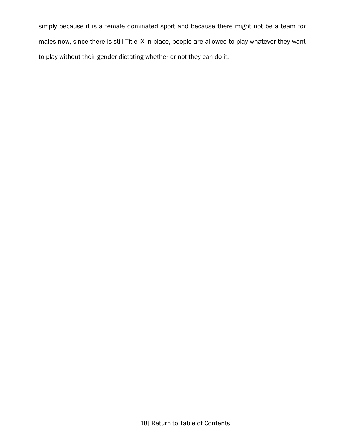simply because it is a female dominated sport and because there might not be a team for males now, since there is still Title IX in place, people are allowed to play whatever they want to play without their gender dictating whether or not they can do it.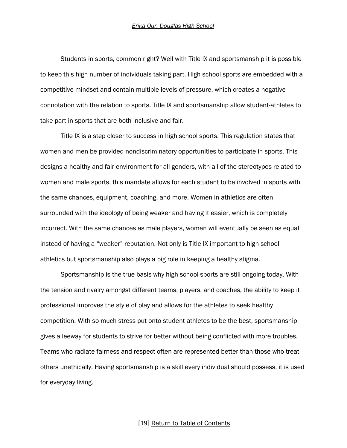<span id="page-19-0"></span>Students in sports, common right? Well with Title IX and sportsmanship it is possible to keep this high number of individuals taking part. High school sports are embedded with a competitive mindset and contain multiple levels of pressure, which creates a negative connotation with the relation to sports. Title IX and sportsmanship allow student-athletes to take part in sports that are both inclusive and fair.

Title IX is a step closer to success in high school sports. This regulation states that women and men be provided nondiscriminatory opportunities to participate in sports. This designs a healthy and fair environment for all genders, with all of the stereotypes related to women and male sports, this mandate allows for each student to be involved in sports with the same chances, equipment, coaching, and more. Women in athletics are often surrounded with the ideology of being weaker and having it easier, which is completely incorrect. With the same chances as male players, women will eventually be seen as equal instead of having a "weaker" reputation. Not only is Title IX important to high school athletics but sportsmanship also plays a big role in keeping a healthy stigma.

Sportsmanship is the true basis why high school sports are still ongoing today. With the tension and rivalry amongst different teams, players, and coaches, the ability to keep it professional improves the style of play and allows for the athletes to seek healthy competition. With so much stress put onto student athletes to be the best, sportsmanship gives a leeway for students to strive for better without being conflicted with more troubles. Teams who radiate fairness and respect often are represented better than those who treat others unethically. Having sportsmanship is a skill every individual should possess, it is used for everyday living.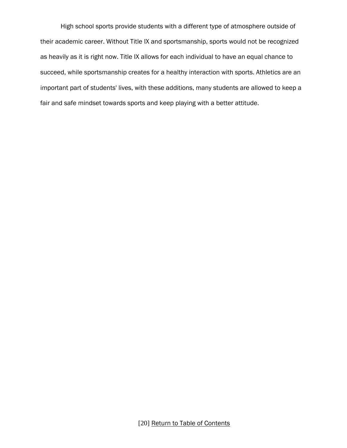High school sports provide students with a different type of atmosphere outside of their academic career. Without Title IX and sportsmanship, sports would not be recognized as heavily as it is right now. Title IX allows for each individual to have an equal chance to succeed, while sportsmanship creates for a healthy interaction with sports. Athletics are an important part of students' lives, with these additions, many students are allowed to keep a fair and safe mindset towards sports and keep playing with a better attitude.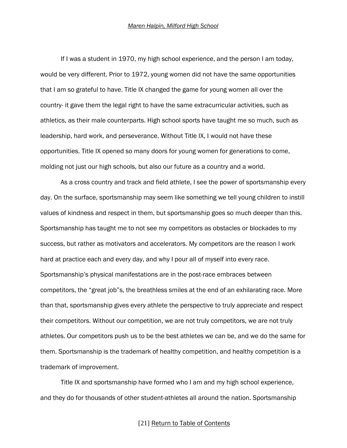<span id="page-21-0"></span>If I was a student in 1970, my high school experience, and the person I am today, would be very different. Prior to 1972, young women did not have the same opportunities that I am so grateful to have. Title IX changed the game for young women all over the country- it gave them the legal right to have the same extracurricular activities, such as athletics, as their male counterparts. High school sports have taught me so much, such as leadership, hard work, and perseverance. Without Title IX, I would not have these opportunities. Title IX opened so many doors for young women for generations to come, molding not just our high schools, but also our future as a country and a world.

As a cross country and track and field athlete, I see the power of sportsmanship every day. On the surface, sportsmanship may seem like something we tell young children to instill values of kindness and respect in them, but sportsmanship goes so much deeper than this. Sportsmanship has taught me to not see my competitors as obstacles or blockades to my success, but rather as motivators and accelerators. My competitors are the reason I work hard at practice each and every day, and why I pour all of myself into every race. Sportsmanship's physical manifestations are in the post-race embraces between competitors, the "great job"s, the breathless smiles at the end of an exhilarating race. More than that, sportsmanship gives every athlete the perspective to truly appreciate and respect their competitors. Without our competition, we are not truly competitors, we are not truly athletes. Our competitors push us to be the best athletes we can be, and we do the same for them. Sportsmanship is the trademark of healthy competition, and healthy competition is a trademark of improvement.

Title IX and sportsmanship have formed who I am and my high school experience, and they do for thousands of other student-athletes all around the nation. Sportsmanship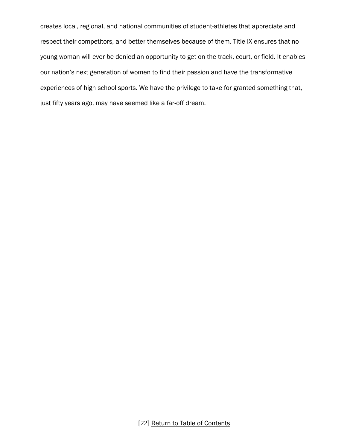creates local, regional, and national communities of student-athletes that appreciate and respect their competitors, and better themselves because of them. Title IX ensures that no young woman will ever be denied an opportunity to get on the track, court, or field. It enables our nation's next generation of women to find their passion and have the transformative experiences of high school sports. We have the privilege to take for granted something that, just fifty years ago, may have seemed like a far-off dream.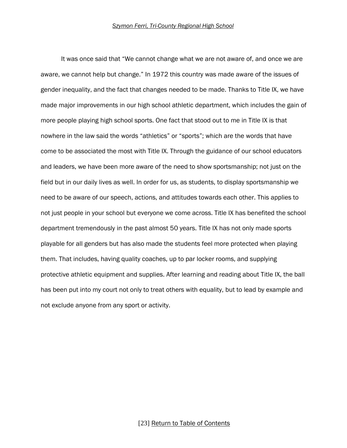<span id="page-23-0"></span>It was once said that "We cannot change what we are not aware of, and once we are aware, we cannot help but change." In 1972 this country was made aware of the issues of gender inequality, and the fact that changes needed to be made. Thanks to Title IX, we have made major improvements in our high school athletic department, which includes the gain of more people playing high school sports. One fact that stood out to me in Title IX is that nowhere in the law said the words "athletics" or "sports"; which are the words that have come to be associated the most with Title IX. Through the guidance of our school educators and leaders, we have been more aware of the need to show sportsmanship; not just on the field but in our daily lives as well. In order for us, as students, to display sportsmanship we need to be aware of our speech, actions, and attitudes towards each other. This applies to not just people in your school but everyone we come across. Title IX has benefited the school department tremendously in the past almost 50 years. Title IX has not only made sports playable for all genders but has also made the students feel more protected when playing them. That includes, having quality coaches, up to par locker rooms, and supplying protective athletic equipment and supplies. After learning and reading about Title IX, the ball has been put into my court not only to treat others with equality, but to lead by example and not exclude anyone from any sport or activity.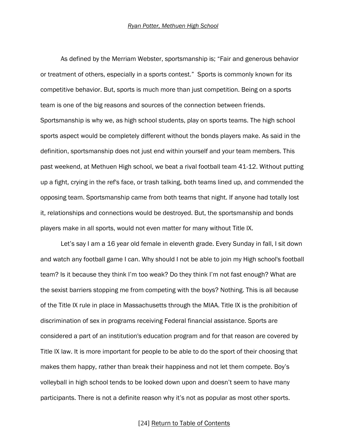<span id="page-24-0"></span>As defined by the Merriam Webster, sportsmanship is; "Fair and generous behavior or treatment of others, especially in a sports contest." Sports is commonly known for its competitive behavior. But, sports is much more than just competition. Being on a sports team is one of the big reasons and sources of the connection between friends. Sportsmanship is why we, as high school students, play on sports teams. The high school sports aspect would be completely different without the bonds players make. As said in the definition, sportsmanship does not just end within yourself and your team members. This past weekend, at Methuen High school, we beat a rival football team 41-12. Without putting up a fight, crying in the ref's face, or trash talking, both teams lined up, and commended the opposing team. Sportsmanship came from both teams that night. If anyone had totally lost it, relationships and connections would be destroyed. But, the sportsmanship and bonds players make in all sports, would not even matter for many without Title IX.

Let's say I am a 16 year old female in eleventh grade. Every Sunday in fall, I sit down and watch any football game I can. Why should I not be able to join my High school's football team? Is it because they think I'm too weak? Do they think I'm not fast enough? What are the sexist barriers stopping me from competing with the boys? Nothing. This is all because of the Title IX rule in place in Massachusetts through the MIAA. Title IX is the prohibition of discrimination of sex in programs receiving Federal financial assistance. Sports are considered a part of an institution's education program and for that reason are covered by Title IX law. It is more important for people to be able to do the sport of their choosing that makes them happy, rather than break their happiness and not let them compete. Boy's volleyball in high school tends to be looked down upon and doesn't seem to have many participants. There is not a definite reason why it's not as popular as most other sports.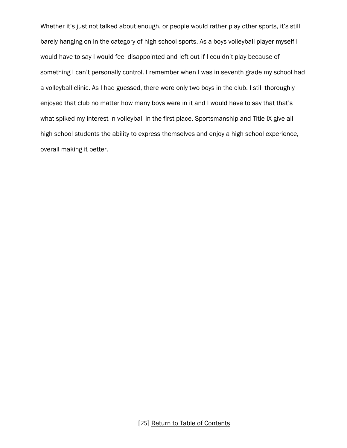Whether it's just not talked about enough, or people would rather play other sports, it's still barely hanging on in the category of high school sports. As a boys volleyball player myself I would have to say I would feel disappointed and left out if I couldn't play because of something I can't personally control. I remember when I was in seventh grade my school had a volleyball clinic. As I had guessed, there were only two boys in the club. I still thoroughly enjoyed that club no matter how many boys were in it and I would have to say that that's what spiked my interest in volleyball in the first place. Sportsmanship and Title IX give all high school students the ability to express themselves and enjoy a high school experience, overall making it better.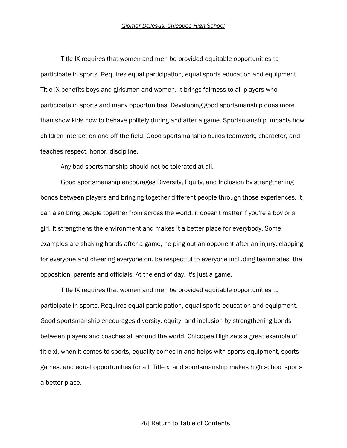<span id="page-26-0"></span>Title IX requires that women and men be provided equitable opportunities to participate in sports. Requires equal participation, equal sports education and equipment. Title IX benefits boys and girls,men and women. It brings fairness to all players who participate in sports and many opportunities. Developing good sportsmanship does more than show kids how to behave politely during and after a game. Sportsmanship impacts how children interact on and off the field. Good sportsmanship builds teamwork, character, and teaches respect, honor, discipline.

Any bad sportsmanship should not be tolerated at all.

Good sportsmanship encourages Diversity, Equity, and Inclusion by strengthening bonds between players and bringing together different people through those experiences. It can also bring people together from across the world, it doesn't matter if you're a boy or a girl. It strengthens the environment and makes it a better place for everybody. Some examples are shaking hands after a game, helping out an opponent after an injury, clapping for everyone and cheering everyone on. be respectful to everyone including teammates, the opposition, parents and officials. At the end of day, it's just a game.

Title IX requires that women and men be provided equitable opportunities to participate in sports. Requires equal participation, equal sports education and equipment. Good sportsmanship encourages diversity, equity, and inclusion by strengthening bonds between players and coaches all around the world. Chicopee High sets a great example of title xl, when it comes to sports, equality comes in and helps with sports equipment, sports games, and equal opportunities for all. Title xl and sportsmanship makes high school sports a better place.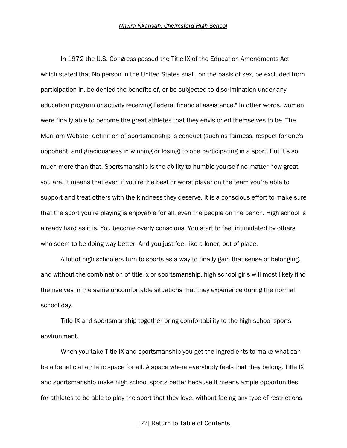<span id="page-27-0"></span>In 1972 the U.S. Congress passed the Title IX of the Education Amendments Act which stated that No person in the United States shall, on the basis of sex, be excluded from participation in, be denied the benefits of, or be subjected to discrimination under any education program or activity receiving Federal financial assistance." In other words, women were finally able to become the great athletes that they envisioned themselves to be. The Merriam-Webster definition of sportsmanship is conduct (such as fairness, respect for one's opponent, and graciousness in winning or losing) to one participating in a sport. But it's so much more than that. Sportsmanship is the ability to humble yourself no matter how great you are. It means that even if you're the best or worst player on the team you're able to support and treat others with the kindness they deserve. It is a conscious effort to make sure that the sport you're playing is enjoyable for all, even the people on the bench. High school is already hard as it is. You become overly conscious. You start to feel intimidated by others who seem to be doing way better. And you just feel like a loner, out of place.

A lot of high schoolers turn to sports as a way to finally gain that sense of belonging. and without the combination of title ix or sportsmanship, high school girls will most likely find themselves in the same uncomfortable situations that they experience during the normal school day.

Title IX and sportsmanship together bring comfortability to the high school sports environment.

When you take Title IX and sportsmanship you get the ingredients to make what can be a beneficial athletic space for all. A space where everybody feels that they belong. Title IX and sportsmanship make high school sports better because it means ample opportunities for athletes to be able to play the sport that they love, without facing any type of restrictions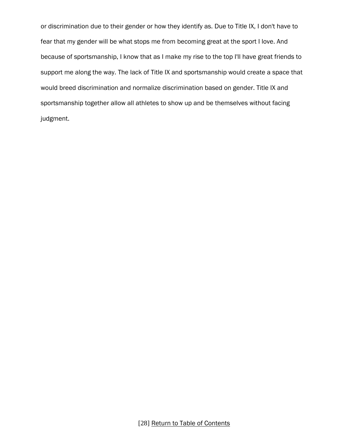or discrimination due to their gender or how they identify as. Due to Title IX, I don't have to fear that my gender will be what stops me from becoming great at the sport I love. And because of sportsmanship, I know that as I make my rise to the top I'll have great friends to support me along the way. The lack of Title IX and sportsmanship would create a space that would breed discrimination and normalize discrimination based on gender. Title IX and sportsmanship together allow all athletes to show up and be themselves without facing judgment.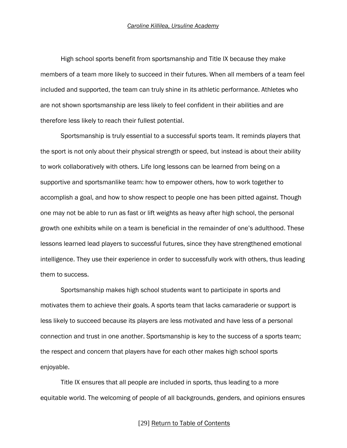<span id="page-29-0"></span>High school sports benefit from sportsmanship and Title IX because they make members of a team more likely to succeed in their futures. When all members of a team feel included and supported, the team can truly shine in its athletic performance. Athletes who are not shown sportsmanship are less likely to feel confident in their abilities and are therefore less likely to reach their fullest potential.

Sportsmanship is truly essential to a successful sports team. It reminds players that the sport is not only about their physical strength or speed, but instead is about their ability to work collaboratively with others. Life long lessons can be learned from being on a supportive and sportsmanlike team: how to empower others, how to work together to accomplish a goal, and how to show respect to people one has been pitted against. Though one may not be able to run as fast or lift weights as heavy after high school, the personal growth one exhibits while on a team is beneficial in the remainder of one's adulthood. These lessons learned lead players to successful futures, since they have strengthened emotional intelligence. They use their experience in order to successfully work with others, thus leading them to success.

Sportsmanship makes high school students want to participate in sports and motivates them to achieve their goals. A sports team that lacks camaraderie or support is less likely to succeed because its players are less motivated and have less of a personal connection and trust in one another. Sportsmanship is key to the success of a sports team; the respect and concern that players have for each other makes high school sports enjoyable.

Title IX ensures that all people are included in sports, thus leading to a more equitable world. The welcoming of people of all backgrounds, genders, and opinions ensures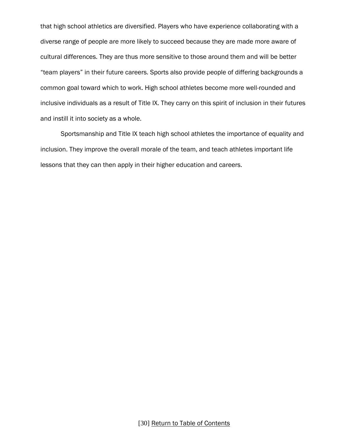that high school athletics are diversified. Players who have experience collaborating with a diverse range of people are more likely to succeed because they are made more aware of cultural differences. They are thus more sensitive to those around them and will be better "team players" in their future careers. Sports also provide people of differing backgrounds a common goal toward which to work. High school athletes become more well-rounded and inclusive individuals as a result of Title IX. They carry on this spirit of inclusion in their futures and instill it into society as a whole.

Sportsmanship and Title IX teach high school athletes the importance of equality and inclusion. They improve the overall morale of the team, and teach athletes important life lessons that they can then apply in their higher education and careers.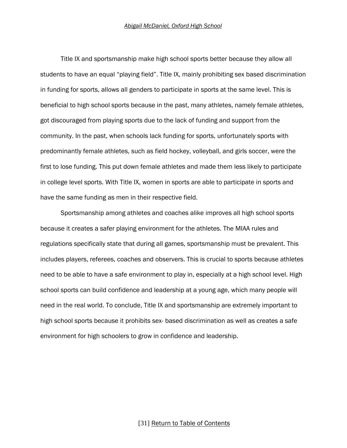<span id="page-31-0"></span>Title IX and sportsmanship make high school sports better because they allow all students to have an equal "playing field". Title IX, mainly prohibiting sex based discrimination in funding for sports, allows all genders to participate in sports at the same level. This is beneficial to high school sports because in the past, many athletes, namely female athletes, got discouraged from playing sports due to the lack of funding and support from the community. In the past, when schools lack funding for sports, unfortunately sports with predominantly female athletes, such as field hockey, volleyball, and girls soccer, were the first to lose funding. This put down female athletes and made them less likely to participate in college level sports. With Title IX, women in sports are able to participate in sports and have the same funding as men in their respective field.

Sportsmanship among athletes and coaches alike improves all high school sports because it creates a safer playing environment for the athletes. The MIAA rules and regulations specifically state that during all games, sportsmanship must be prevalent. This includes players, referees, coaches and observers. This is crucial to sports because athletes need to be able to have a safe environment to play in, especially at a high school level. High school sports can build confidence and leadership at a young age, which many people will need in the real world. To conclude, Title IX and sportsmanship are extremely important to high school sports because it prohibits sex- based discrimination as well as creates a safe environment for high schoolers to grow in confidence and leadership.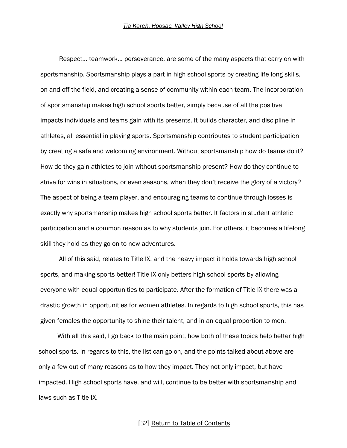<span id="page-32-0"></span>Respect… teamwork… perseverance, are some of the many aspects that carry on with sportsmanship. Sportsmanship plays a part in high school sports by creating life long skills, on and off the field, and creating a sense of community within each team. The incorporation of sportsmanship makes high school sports better, simply because of all the positive impacts individuals and teams gain with its presents. It builds character, and discipline in athletes, all essential in playing sports. Sportsmanship contributes to student participation by creating a safe and welcoming environment. Without sportsmanship how do teams do it? How do they gain athletes to join without sportsmanship present? How do they continue to strive for wins in situations, or even seasons, when they don't receive the glory of a victory? The aspect of being a team player, and encouraging teams to continue through losses is exactly why sportsmanship makes high school sports better. It factors in student athletic participation and a common reason as to why students join. For others, it becomes a lifelong skill they hold as they go on to new adventures.

All of this said, relates to Title IX, and the heavy impact it holds towards high school sports, and making sports better! Title IX only betters high school sports by allowing everyone with equal opportunities to participate. After the formation of Title IX there was a drastic growth in opportunities for women athletes. In regards to high school sports, this has given females the opportunity to shine their talent, and in an equal proportion to men.

With all this said, I go back to the main point, how both of these topics help better high school sports. In regards to this, the list can go on, and the points talked about above are only a few out of many reasons as to how they impact. They not only impact, but have impacted. High school sports have, and will, continue to be better with sportsmanship and laws such as Title IX.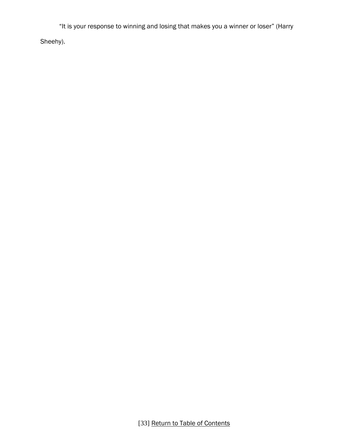"It is your response to winning and losing that makes you a winner or loser" (Harry

Sheehy).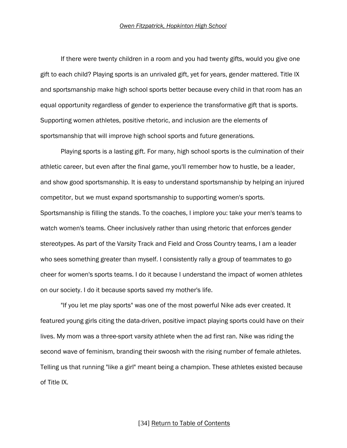<span id="page-34-0"></span>If there were twenty children in a room and you had twenty gifts, would you give one gift to each child? Playing sports is an unrivaled gift, yet for years, gender mattered. Title IX and sportsmanship make high school sports better because every child in that room has an equal opportunity regardless of gender to experience the transformative gift that is sports. Supporting women athletes, positive rhetoric, and inclusion are the elements of sportsmanship that will improve high school sports and future generations.

Playing sports is a lasting gift. For many, high school sports is the culmination of their athletic career, but even after the final game, you'll remember how to hustle, be a leader, and show good sportsmanship. It is easy to understand sportsmanship by helping an injured competitor, but we must expand sportsmanship to supporting women's sports. Sportsmanship is filling the stands. To the coaches, I implore you: take your men's teams to watch women's teams. Cheer inclusively rather than using rhetoric that enforces gender stereotypes. As part of the Varsity Track and Field and Cross Country teams, I am a leader who sees something greater than myself. I consistently rally a group of teammates to go cheer for women's sports teams. I do it because I understand the impact of women athletes on our society. I do it because sports saved my mother's life.

"If you let me play sports" was one of the most powerful Nike ads ever created. It featured young girls citing the data-driven, positive impact playing sports could have on their lives. My mom was a three-sport varsity athlete when the ad first ran. Nike was riding the second wave of feminism, branding their swoosh with the rising number of female athletes. Telling us that running "like a girl" meant being a champion. These athletes existed because of Title IX.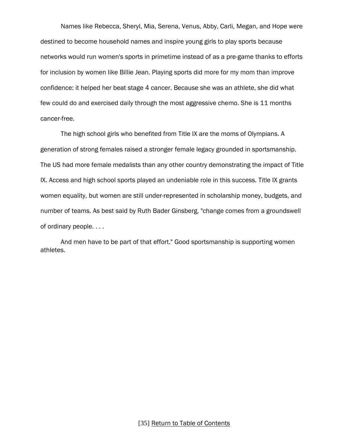Names like Rebecca, Sheryl, Mia, Serena, Venus, Abby, Carli, Megan, and Hope were destined to become household names and inspire young girls to play sports because networks would run women's sports in primetime instead of as a pre-game thanks to efforts for inclusion by women like Billie Jean. Playing sports did more for my mom than improve confidence: it helped her beat stage 4 cancer. Because she was an athlete, she did what few could do and exercised daily through the most aggressive chemo. She is 11 months cancer-free.

The high school girls who benefited from Title IX are the moms of Olympians. A generation of strong females raised a stronger female legacy grounded in sportsmanship. The US had more female medalists than any other country demonstrating the impact of Title IX. Access and high school sports played an undeniable role in this success. Title IX grants women equality, but women are still under-represented in scholarship money, budgets, and number of teams. As best said by Ruth Bader Ginsberg, "change comes from a groundswell of ordinary people. . . .

And men have to be part of that effort." Good sportsmanship is supporting women athletes.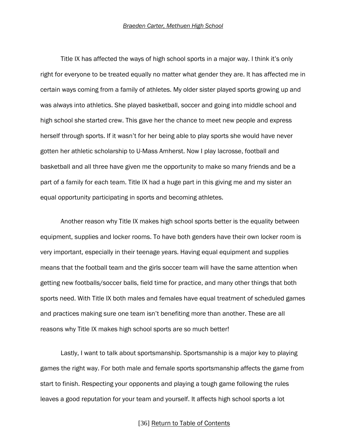<span id="page-36-0"></span>Title IX has affected the ways of high school sports in a major way. I think it's only right for everyone to be treated equally no matter what gender they are. It has affected me in certain ways coming from a family of athletes. My older sister played sports growing up and was always into athletics. She played basketball, soccer and going into middle school and high school she started crew. This gave her the chance to meet new people and express herself through sports. If it wasn't for her being able to play sports she would have never gotten her athletic scholarship to U-Mass Amherst. Now I play lacrosse, football and basketball and all three have given me the opportunity to make so many friends and be a part of a family for each team. Title IX had a huge part in this giving me and my sister an equal opportunity participating in sports and becoming athletes.

Another reason why Title IX makes high school sports better is the equality between equipment, supplies and locker rooms. To have both genders have their own locker room is very important, especially in their teenage years. Having equal equipment and supplies means that the football team and the girls soccer team will have the same attention when getting new footballs/soccer balls, field time for practice, and many other things that both sports need. With Title IX both males and females have equal treatment of scheduled games and practices making sure one team isn't benefiting more than another. These are all reasons why Title IX makes high school sports are so much better!

Lastly, I want to talk about sportsmanship. Sportsmanship is a major key to playing games the right way. For both male and female sports sportsmanship affects the game from start to finish. Respecting your opponents and playing a tough game following the rules leaves a good reputation for your team and yourself. It affects high school sports a lot